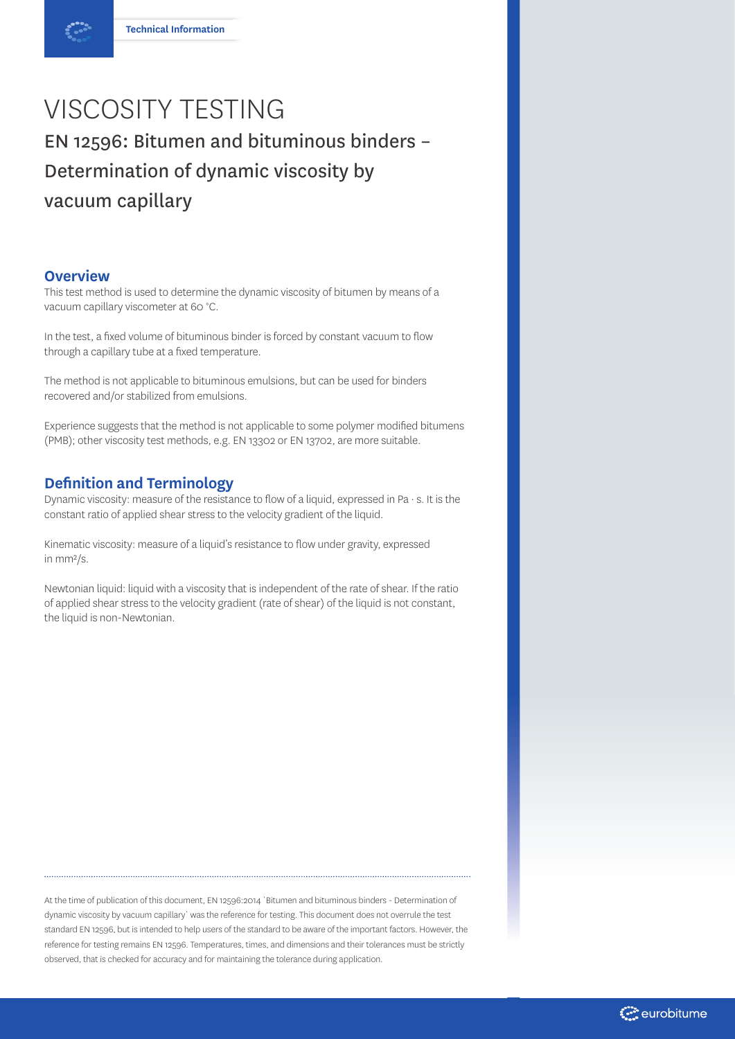# VISCOSITY TESTING EN 12596: Bitumen and bituminous binders – Determination of dynamic viscosity by vacuum capillary

#### **Overview**

This test method is used to determine the dynamic viscosity of bitumen by means of a vacuum capillary viscometer at 60 °C.

In the test, a fixed volume of bituminous binder is forced by constant vacuum to flow through a capillary tube at a fixed temperature.

The method is not applicable to bituminous emulsions, but can be used for binders recovered and/or stabilized from emulsions.

Experience suggests that the method is not applicable to some polymer modified bitumens (PMB); other viscosity test methods, e.g. EN 13302 or EN 13702, are more suitable.

### **Definition and Terminology**

Dynamic viscosity: measure of the resistance to flow of a liquid, expressed in Pa  $\cdot$  s. It is the constant ratio of applied shear stress to the velocity gradient of the liquid.

Kinematic viscosity: measure of a liquid's resistance to flow under gravity, expressed in mm²/s.

Newtonian liquid: liquid with a viscosity that is independent of the rate of shear. If the ratio of applied shear stress to the velocity gradient (rate of shear) of the liquid is not constant, the liquid is non-Newtonian.

At the time of publication of this document, EN 12596:2014 `Bitumen and bituminous binders - Determination of dynamic viscosity by vacuum capillary` was the reference for testing. This document does not overrule the test standard EN 12596, but is intended to help users of the standard to be aware of the important factors. However, the reference for testing remains EN 12596. Temperatures, times, and dimensions and their tolerances must be strictly observed, that is checked for accuracy and for maintaining the tolerance during application.